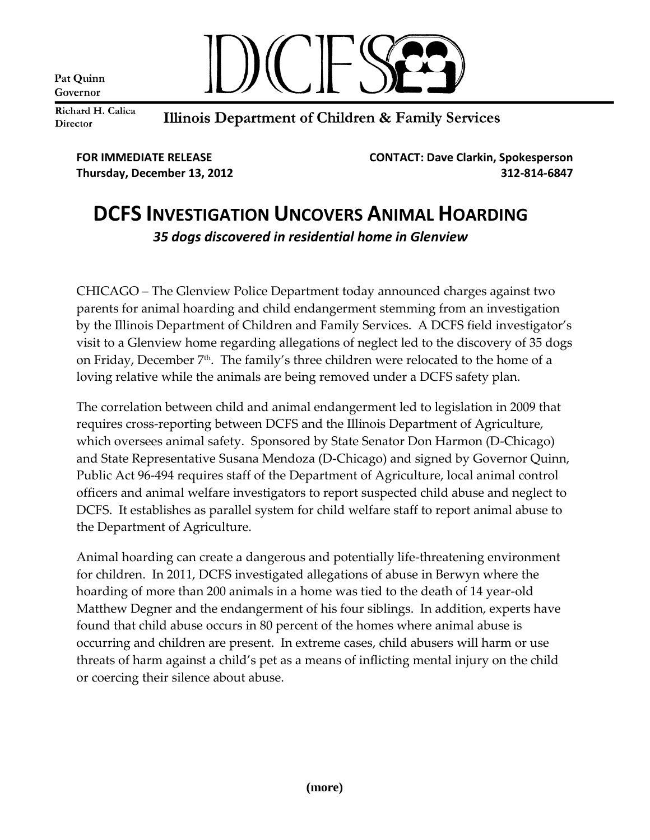Pat Quinn Governor



Richard H. Calica Director

Illinois Department of Children & Family Services

**FOR IMMEDIATE RELEASE CONTACT: Dave Clarkin, Spokesperson Thursday, December 13, 2012 312-814-6847**

## **DCFS INVESTIGATION UNCOVERS ANIMAL HOARDING** *35 dogs discovered in residential home in Glenview*

CHICAGO – The Glenview Police Department today announced charges against two parents for animal hoarding and child endangerment stemming from an investigation by the Illinois Department of Children and Family Services. A DCFS field investigator's visit to a Glenview home regarding allegations of neglect led to the discovery of 35 dogs on Friday, December 7<sup>th</sup>. The family's three children were relocated to the home of a loving relative while the animals are being removed under a DCFS safety plan.

The correlation between child and animal endangerment led to legislation in 2009 that requires cross-reporting between DCFS and the Illinois Department of Agriculture, which oversees animal safety. Sponsored by State Senator Don Harmon (D-Chicago) and State Representative Susana Mendoza (D-Chicago) and signed by Governor Quinn, Public Act 96-494 requires staff of the Department of Agriculture, local animal control officers and animal welfare investigators to report suspected child abuse and neglect to DCFS. It establishes as parallel system for child welfare staff to report animal abuse to the Department of Agriculture.

Animal hoarding can create a dangerous and potentially life-threatening environment for children. In 2011, DCFS investigated allegations of abuse in Berwyn where the hoarding of more than 200 animals in a home was tied to the death of 14 year-old Matthew Degner and the endangerment of his four siblings. In addition, experts have found that child abuse occurs in 80 percent of the homes where animal abuse is occurring and children are present. In extreme cases, child abusers will harm or use threats of harm against a child's pet as a means of inflicting mental injury on the child or coercing their silence about abuse.